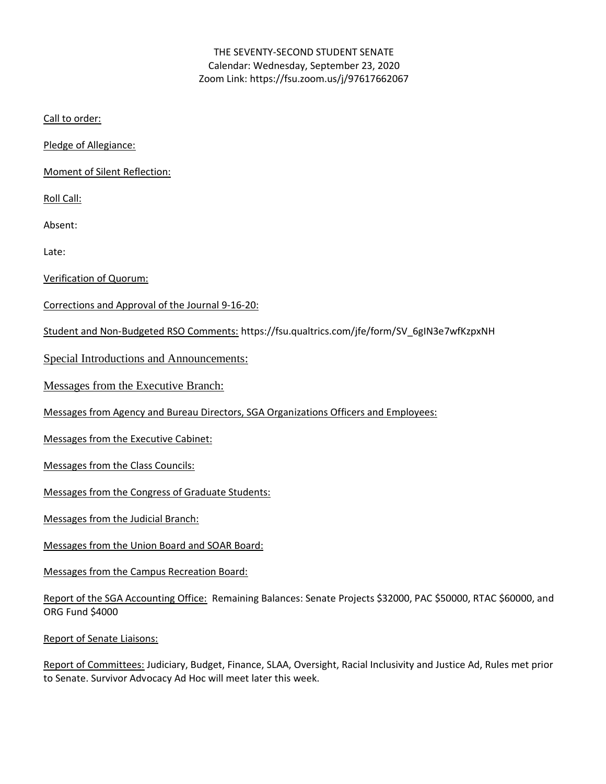# THE SEVENTY-SECOND STUDENT SENATE Calendar: Wednesday, September 23, 2020 Zoom Link: https://fsu.zoom.us/j/97617662067

Call to order:

Pledge of Allegiance:

Moment of Silent Reflection:

Roll Call:

Absent:

Late:

Verification of Quorum:

Corrections and Approval of the Journal 9-16-20:

Student and Non-Budgeted RSO Comments: https://fsu.qualtrics.com/jfe/form/SV\_6gIN3e7wfKzpxNH

Special Introductions and Announcements:

Messages from the Executive Branch:

Messages from Agency and Bureau Directors, SGA Organizations Officers and Employees:

Messages from the Executive Cabinet:

Messages from the Class Councils:

Messages from the Congress of Graduate Students:

Messages from the Judicial Branch:

Messages from the Union Board and SOAR Board:

Messages from the Campus Recreation Board:

Report of the SGA Accounting Office: Remaining Balances: Senate Projects \$32000, PAC \$50000, RTAC \$60000, and ORG Fund \$4000

Report of Senate Liaisons:

Report of Committees: Judiciary, Budget, Finance, SLAA, Oversight, Racial Inclusivity and Justice Ad, Rules met prior to Senate. Survivor Advocacy Ad Hoc will meet later this week.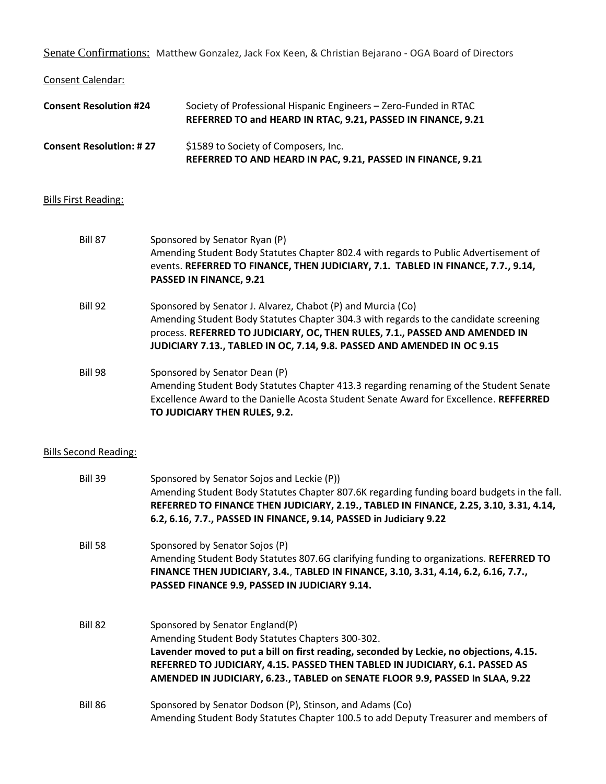Senate Confirmations: Matthew Gonzalez, Jack Fox Keen, & Christian Bejarano - OGA Board of Directors

Consent Calendar:

| <b>Consent Resolution #24</b>  | Society of Professional Hispanic Engineers - Zero-Funded in RTAC<br>REFERRED TO and HEARD IN RTAC, 9.21, PASSED IN FINANCE, 9.21 |
|--------------------------------|----------------------------------------------------------------------------------------------------------------------------------|
| <b>Consent Resolution: #27</b> | \$1589 to Society of Composers, Inc.<br>REFERRED TO AND HEARD IN PAC, 9.21, PASSED IN FINANCE, 9.21                              |

# Bills First Reading:

| <b>Bill 87</b> | Sponsored by Senator Ryan (P)<br>Amending Student Body Statutes Chapter 802.4 with regards to Public Advertisement of<br>events. REFERRED TO FINANCE, THEN JUDICIARY, 7.1. TABLED IN FINANCE, 7.7., 9.14,<br><b>PASSED IN FINANCE, 9.21</b>                                                                   |
|----------------|---------------------------------------------------------------------------------------------------------------------------------------------------------------------------------------------------------------------------------------------------------------------------------------------------------------|
| <b>Bill 92</b> | Sponsored by Senator J. Alvarez, Chabot (P) and Murcia (Co)<br>Amending Student Body Statutes Chapter 304.3 with regards to the candidate screening<br>process. REFERRED TO JUDICIARY, OC, THEN RULES, 7.1., PASSED AND AMENDED IN<br>JUDICIARY 7.13., TABLED IN OC, 7.14, 9.8. PASSED AND AMENDED IN OC 9.15 |
| <b>Bill 98</b> | Sponsored by Senator Dean (P)<br>Amending Student Body Statutes Chapter 413.3 regarding renaming of the Student Senate<br>Excellence Award to the Danielle Acosta Student Senate Award for Excellence. REFFERRED<br>TO JUDICIARY THEN RULES, 9.2.                                                             |

# Bills Second Reading:

| <b>Bill 39</b> | Sponsored by Senator Sojos and Leckie (P))<br>Amending Student Body Statutes Chapter 807.6K regarding funding board budgets in the fall.<br>REFERRED TO FINANCE THEN JUDICIARY, 2.19., TABLED IN FINANCE, 2.25, 3.10, 3.31, 4.14,<br>6.2, 6.16, 7.7., PASSED IN FINANCE, 9.14, PASSED in Judiciary 9.22                                         |
|----------------|-------------------------------------------------------------------------------------------------------------------------------------------------------------------------------------------------------------------------------------------------------------------------------------------------------------------------------------------------|
| <b>Bill 58</b> | Sponsored by Senator Sojos (P)<br>Amending Student Body Statutes 807.6G clarifying funding to organizations. REFERRED TO<br>FINANCE THEN JUDICIARY, 3.4., TABLED IN FINANCE, 3.10, 3.31, 4.14, 6.2, 6.16, 7.7.,<br>PASSED FINANCE 9.9, PASSED IN JUDICIARY 9.14.                                                                                |
| Bill 82        | Sponsored by Senator England(P)<br>Amending Student Body Statutes Chapters 300-302.<br>Lavender moved to put a bill on first reading, seconded by Leckie, no objections, 4.15.<br>REFERRED TO JUDICIARY, 4.15. PASSED THEN TABLED IN JUDICIARY, 6.1. PASSED AS<br>AMENDED IN JUDICIARY, 6.23., TABLED on SENATE FLOOR 9.9, PASSED In SLAA, 9.22 |
| Bill 86        | Sponsored by Senator Dodson (P), Stinson, and Adams (Co)<br>Amending Student Body Statutes Chapter 100.5 to add Deputy Treasurer and members of                                                                                                                                                                                                 |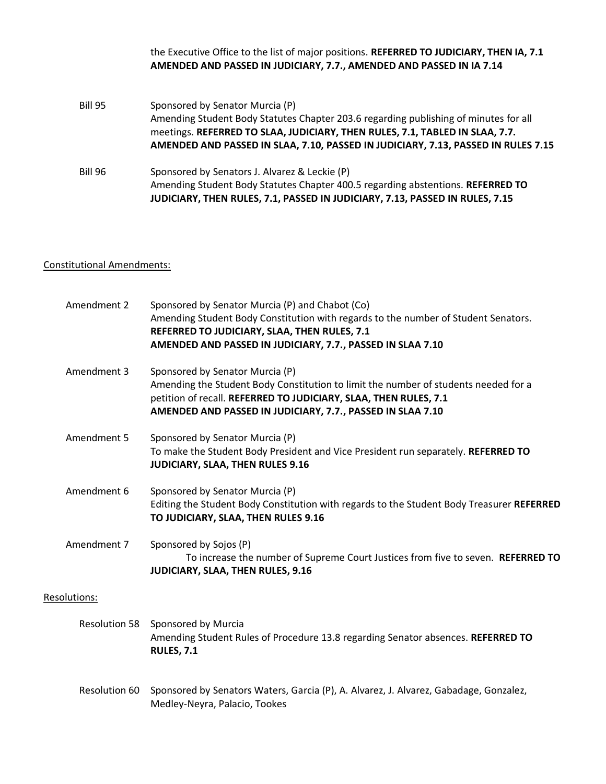|                | the Executive Office to the list of major positions. REFERRED TO JUDICIARY, THEN IA, 7.1<br>AMENDED AND PASSED IN JUDICIARY, 7.7., AMENDED AND PASSED IN IA 7.14                                                                                                                             |
|----------------|----------------------------------------------------------------------------------------------------------------------------------------------------------------------------------------------------------------------------------------------------------------------------------------------|
| <b>Bill 95</b> | Sponsored by Senator Murcia (P)<br>Amending Student Body Statutes Chapter 203.6 regarding publishing of minutes for all<br>meetings. REFERRED TO SLAA, JUDICIARY, THEN RULES, 7.1, TABLED IN SLAA, 7.7.<br>AMENDED AND PASSED IN SLAA, 7.10, PASSED IN JUDICIARY, 7.13, PASSED IN RULES 7.15 |
| <b>Bill 96</b> | Sponsored by Senators J. Alvarez & Leckie (P)<br>Amending Student Body Statutes Chapter 400.5 regarding abstentions. REFERRED TO<br>JUDICIARY, THEN RULES, 7.1, PASSED IN JUDICIARY, 7.13, PASSED IN RULES, 7.15                                                                             |

# Constitutional Amendments:

| Amendment 2          | Sponsored by Senator Murcia (P) and Chabot (Co)<br>Amending Student Body Constitution with regards to the number of Student Senators.<br>REFERRED TO JUDICIARY, SLAA, THEN RULES, 7.1<br>AMENDED AND PASSED IN JUDICIARY, 7.7., PASSED IN SLAA 7.10      |
|----------------------|----------------------------------------------------------------------------------------------------------------------------------------------------------------------------------------------------------------------------------------------------------|
| Amendment 3          | Sponsored by Senator Murcia (P)<br>Amending the Student Body Constitution to limit the number of students needed for a<br>petition of recall. REFERRED TO JUDICIARY, SLAA, THEN RULES, 7.1<br>AMENDED AND PASSED IN JUDICIARY, 7.7., PASSED IN SLAA 7.10 |
| Amendment 5          | Sponsored by Senator Murcia (P)<br>To make the Student Body President and Vice President run separately. REFERRED TO<br>JUDICIARY, SLAA, THEN RULES 9.16                                                                                                 |
| Amendment 6          | Sponsored by Senator Murcia (P)<br>Editing the Student Body Constitution with regards to the Student Body Treasurer REFERRED<br>TO JUDICIARY, SLAA, THEN RULES 9.16                                                                                      |
| Amendment 7          | Sponsored by Sojos (P)<br>To increase the number of Supreme Court Justices from five to seven. REFERRED TO<br>JUDICIARY, SLAA, THEN RULES, 9.16                                                                                                          |
| Resolutions:         |                                                                                                                                                                                                                                                          |
| <b>Resolution 58</b> | Sponsored by Murcia<br>Amending Student Rules of Procedure 13.8 regarding Senator absences. REFERRED TO<br><b>RULES, 7.1</b>                                                                                                                             |
| Resolution 60        | Sponsored by Senators Waters, Garcia (P), A. Alvarez, J. Alvarez, Gabadage, Gonzalez,<br>Medley-Neyra, Palacio, Tookes                                                                                                                                   |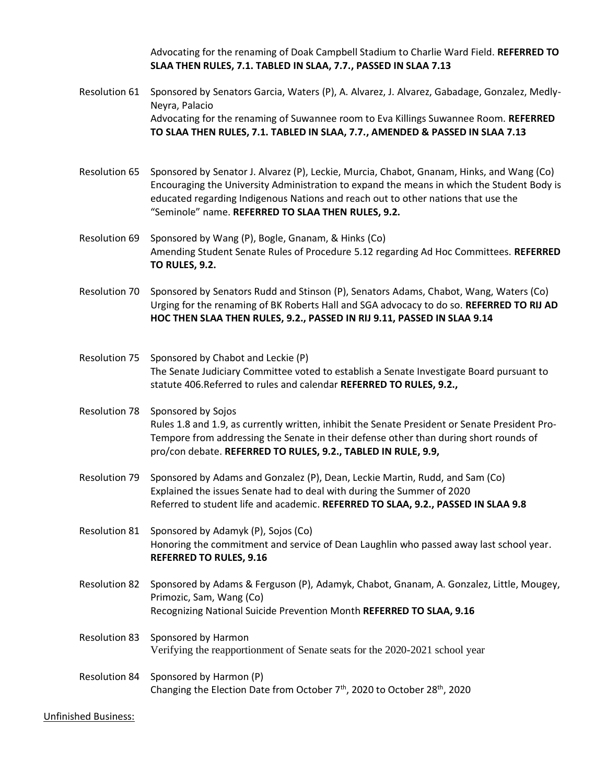Advocating for the renaming of Doak Campbell Stadium to Charlie Ward Field. **REFERRED TO SLAA THEN RULES, 7.1. TABLED IN SLAA, 7.7., PASSED IN SLAA 7.13**

Resolution 61 Sponsored by Senators Garcia, Waters (P), A. Alvarez, J. Alvarez, Gabadage, Gonzalez, Medly-Neyra, Palacio Advocating for the renaming of Suwannee room to Eva Killings Suwannee Room. **REFERRED TO SLAA THEN RULES, 7.1. TABLED IN SLAA, 7.7., AMENDED & PASSED IN SLAA 7.13**

- Resolution 65 Sponsored by Senator J. Alvarez (P), Leckie, Murcia, Chabot, Gnanam, Hinks, and Wang (Co) Encouraging the University Administration to expand the means in which the Student Body is educated regarding Indigenous Nations and reach out to other nations that use the "Seminole" name. **REFERRED TO SLAA THEN RULES, 9.2.**
- Resolution 69 Sponsored by Wang (P), Bogle, Gnanam, & Hinks (Co) Amending Student Senate Rules of Procedure 5.12 regarding Ad Hoc Committees. **REFERRED TO RULES, 9.2.**
- Resolution 70 Sponsored by Senators Rudd and Stinson (P), Senators Adams, Chabot, Wang, Waters (Co) Urging for the renaming of BK Roberts Hall and SGA advocacy to do so. **REFERRED TO RIJ AD HOC THEN SLAA THEN RULES, 9.2., PASSED IN RIJ 9.11, PASSED IN SLAA 9.14**
- Resolution 75 Sponsored by Chabot and Leckie (P) The Senate Judiciary Committee voted to establish a Senate Investigate Board pursuant to statute 406.Referred to rules and calendar **REFERRED TO RULES, 9.2.,**

Resolution 78 Sponsored by Sojos Rules 1.8 and 1.9, as currently written, inhibit the Senate President or Senate President Pro-Tempore from addressing the Senate in their defense other than during short rounds of pro/con debate. **REFERRED TO RULES, 9.2., TABLED IN RULE, 9.9,**

- Resolution 79 Sponsored by Adams and Gonzalez (P), Dean, Leckie Martin, Rudd, and Sam (Co) Explained the issues Senate had to deal with during the Summer of 2020 Referred to student life and academic. **REFERRED TO SLAA, 9.2., PASSED IN SLAA 9.8**
- Resolution 81 Sponsored by Adamyk (P), Sojos (Co) Honoring the commitment and service of Dean Laughlin who passed away last school year. **REFERRED TO RULES, 9.16**
- Resolution 82 Sponsored by Adams & Ferguson (P), Adamyk, Chabot, Gnanam, A. Gonzalez, Little, Mougey, Primozic, Sam, Wang (Co) Recognizing National Suicide Prevention Month **REFERRED TO SLAA, 9.16**
- Resolution 83 Sponsored by Harmon Verifying the reapportionment of Senate seats for the 2020-2021 school year
- Resolution 84 Sponsored by Harmon (P) Changing the Election Date from October 7<sup>th</sup>, 2020 to October 28<sup>th</sup>, 2020

Unfinished Business: